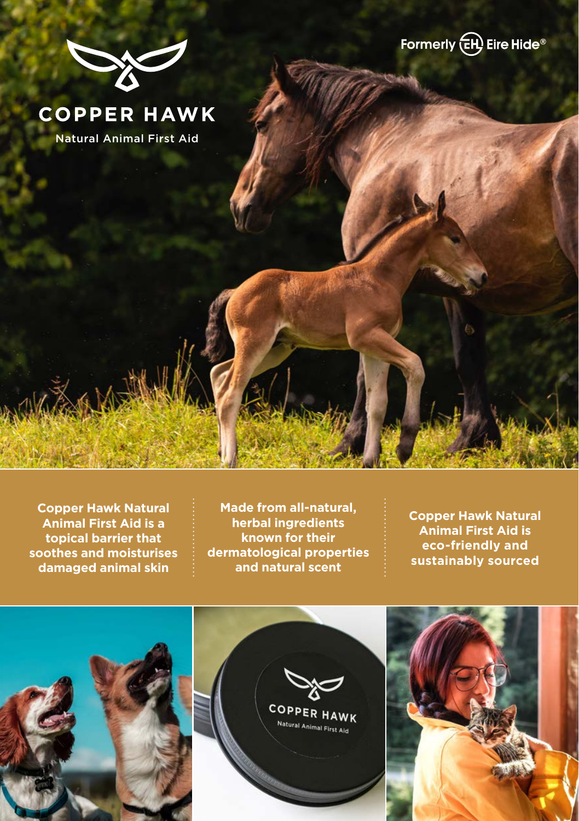



# **COPPER HAWK**

Natural Animal First Aid

**Copper Hawk Natural Animal First Aid is a topical barrier that soothes and moisturises damaged animal skin**

**Made from all-natural, herbal ingredients known for their dermatological properties and natural scent**

**Copper Hawk Natural Animal First Aid is eco-friendly and sustainably sourced**